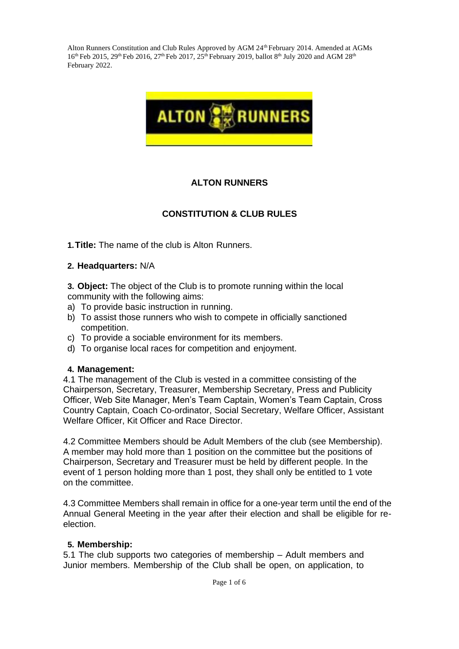

## **ALTON RUNNERS**

### **CONSTITUTION & CLUB RULES**

**1.Title:** The name of the club is Alton Runners.

#### **2. Headquarters:** N/A

**3. Object:** The object of the Club is to promote running within the local community with the following aims:

- a) To provide basic instruction in running.
- b) To assist those runners who wish to compete in officially sanctioned competition.
- c) To provide a sociable environment for its members.
- d) To organise local races for competition and enjoyment.

#### **4. Management:**

4.1 The management of the Club is vested in a committee consisting of the Chairperson, Secretary, Treasurer, Membership Secretary, Press and Publicity Officer, Web Site Manager, Men's Team Captain, Women's Team Captain, Cross Country Captain, Coach Co-ordinator, Social Secretary, Welfare Officer, Assistant Welfare Officer, Kit Officer and Race Director.

4.2 Committee Members should be Adult Members of the club (see Membership). A member may hold more than 1 position on the committee but the positions of Chairperson, Secretary and Treasurer must be held by different people. In the event of 1 person holding more than 1 post, they shall only be entitled to 1 vote on the committee.

4.3 Committee Members shall remain in office for a one-year term until the end of the Annual General Meeting in the year after their election and shall be eligible for reelection.

#### **5. Membership:**

5.1 The club supports two categories of membership – Adult members and Junior members. Membership of the Club shall be open, on application, to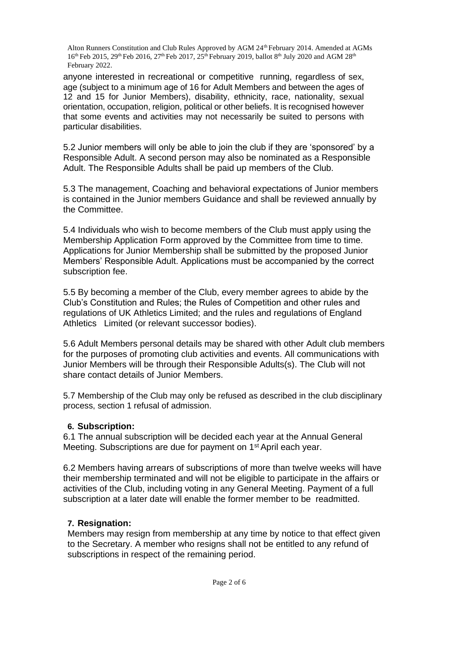anyone interested in recreational or competitive running, regardless of sex, age (subject to a minimum age of 16 for Adult Members and between the ages of 12 and 15 for Junior Members), disability, ethnicity, race, nationality, sexual orientation, occupation, religion, political or other beliefs. It is recognised however that some events and activities may not necessarily be suited to persons with particular disabilities.

5.2 Junior members will only be able to join the club if they are 'sponsored' by a Responsible Adult. A second person may also be nominated as a Responsible Adult. The Responsible Adults shall be paid up members of the Club.

5.3 The management, Coaching and behavioral expectations of Junior members is contained in the Junior members Guidance and shall be reviewed annually by the Committee.

5.4 Individuals who wish to become members of the Club must apply using the Membership Application Form approved by the Committee from time to time. Applications for Junior Membership shall be submitted by the proposed Junior Members' Responsible Adult. Applications must be accompanied by the correct subscription fee.

5.5 By becoming a member of the Club, every member agrees to abide by the Club's Constitution and Rules; the Rules of Competition and other rules and regulations of UK Athletics Limited; and the rules and regulations of England Athletics Limited (or relevant successor bodies).

5.6 Adult Members personal details may be shared with other Adult club members for the purposes of promoting club activities and events. All communications with Junior Members will be through their Responsible Adults(s). The Club will not share contact details of Junior Members.

5.7 Membership of the Club may only be refused as described in the club disciplinary process, section 1 refusal of admission.

### **6. Subscription:**

6.1 The annual subscription will be decided each year at the Annual General Meeting. Subscriptions are due for payment on 1<sup>st</sup> April each year.

6.2 Members having arrears of subscriptions of more than twelve weeks will have their membership terminated and will not be eligible to participate in the affairs or activities of the Club, including voting in any General Meeting. Payment of a full subscription at a later date will enable the former member to be readmitted.

## **7. Resignation:**

Members may resign from membership at any time by notice to that effect given to the Secretary. A member who resigns shall not be entitled to any refund of subscriptions in respect of the remaining period.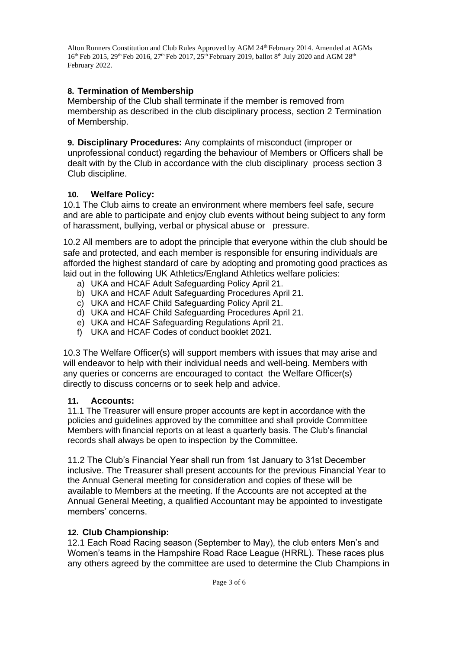## **8. Termination of Membership**

Membership of the Club shall terminate if the member is removed from membership as described in the club disciplinary process, section 2 Termination of Membership.

**9. Disciplinary Procedures:** Any complaints of misconduct (improper or unprofessional conduct) regarding the behaviour of Members or Officers shall be dealt with by the Club in accordance with the club disciplinary process section 3 Club discipline.

# **10. Welfare Policy:**

10.1 The Club aims to create an environment where members feel safe, secure and are able to participate and enjoy club events without being subject to any form of harassment, bullying, verbal or physical abuse or pressure.

10.2 All members are to adopt the principle that everyone within the club should be safe and protected, and each member is responsible for ensuring individuals are afforded the highest standard of care by adopting and promoting good practices as laid out in the following UK Athletics/England Athletics welfare policies:

- a) UKA and HCAF Adult Safeguarding Policy April 21.
- b) UKA and HCAF Adult Safeguarding Procedures April 21.
- c) UKA and HCAF Child Safeguarding Policy April 21.
- d) UKA and HCAF Child Safeguarding Procedures April 21.
- e) UKA and HCAF Safeguarding Regulations April 21.
- f) UKA and HCAF Codes of conduct booklet 2021.

10.3 The Welfare Officer(s) will support members with issues that may arise and will endeavor to help with their individual needs and well-being. Members with any queries or concerns are encouraged to contact the Welfare Officer(s) directly to discuss concerns or to seek help and advice.

## **11. Accounts:**

11.1 The Treasurer will ensure proper accounts are kept in accordance with the policies and guidelines approved by the committee and shall provide Committee Members with financial reports on at least a quarterly basis. The Club's financial records shall always be open to inspection by the Committee.

11.2 The Club's Financial Year shall run from 1st January to 31st December inclusive. The Treasurer shall present accounts for the previous Financial Year to the Annual General meeting for consideration and copies of these will be available to Members at the meeting. If the Accounts are not accepted at the Annual General Meeting, a qualified Accountant may be appointed to investigate members' concerns.

## **12. Club Championship:**

12.1 Each Road Racing season (September to May), the club enters Men's and Women's teams in the Hampshire Road Race League (HRRL). These races plus any others agreed by the committee are used to determine the Club Champions in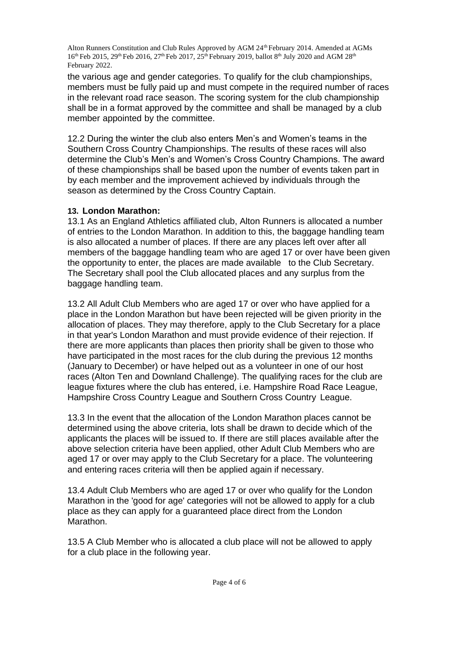the various age and gender categories. To qualify for the club championships, members must be fully paid up and must compete in the required number of races in the relevant road race season. The scoring system for the club championship shall be in a format approved by the committee and shall be managed by a club member appointed by the committee.

12.2 During the winter the club also enters Men's and Women's teams in the Southern Cross Country Championships. The results of these races will also determine the Club's Men's and Women's Cross Country Champions. The award of these championships shall be based upon the number of events taken part in by each member and the improvement achieved by individuals through the season as determined by the Cross Country Captain.

## **13. London Marathon:**

13.1 As an England Athletics affiliated club, Alton Runners is allocated a number of entries to the London Marathon. In addition to this, the baggage handling team is also allocated a number of places. If there are any places left over after all members of the baggage handling team who are aged 17 or over have been given the opportunity to enter, the places are made available to the Club Secretary. The Secretary shall pool the Club allocated places and any surplus from the baggage handling team.

13.2 All Adult Club Members who are aged 17 or over who have applied for a place in the London Marathon but have been rejected will be given priority in the allocation of places. They may therefore, apply to the Club Secretary for a place in that year's London Marathon and must provide evidence of their rejection. If there are more applicants than places then priority shall be given to those who have participated in the most races for the club during the previous 12 months (January to December) or have helped out as a volunteer in one of our host races (Alton Ten and Downland Challenge). The qualifying races for the club are league fixtures where the club has entered, i.e. Hampshire Road Race League, Hampshire Cross Country League and Southern Cross Country League.

13.3 In the event that the allocation of the London Marathon places cannot be determined using the above criteria, lots shall be drawn to decide which of the applicants the places will be issued to. If there are still places available after the above selection criteria have been applied, other Adult Club Members who are aged 17 or over may apply to the Club Secretary for a place. The volunteering and entering races criteria will then be applied again if necessary.

13.4 Adult Club Members who are aged 17 or over who qualify for the London Marathon in the 'good for age' categories will not be allowed to apply for a club place as they can apply for a guaranteed place direct from the London Marathon.

13.5 A Club Member who is allocated a club place will not be allowed to apply for a club place in the following year.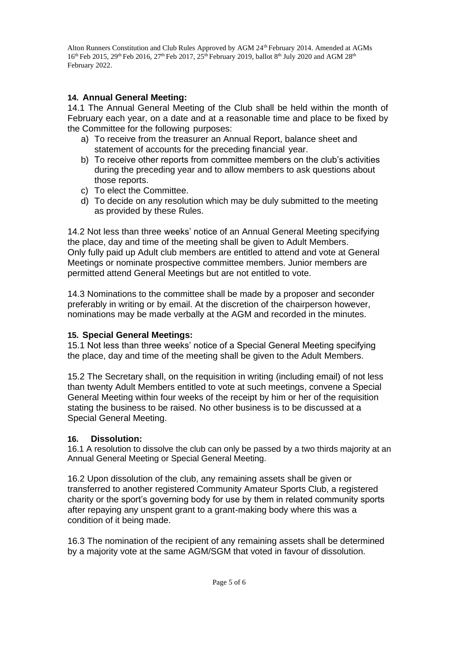# **14. Annual General Meeting:**

14.1 The Annual General Meeting of the Club shall be held within the month of February each year, on a date and at a reasonable time and place to be fixed by the Committee for the following purposes:

- a) To receive from the treasurer an Annual Report, balance sheet and statement of accounts for the preceding financial year.
- b) To receive other reports from committee members on the club's activities during the preceding year and to allow members to ask questions about those reports.
- c) To elect the Committee.
- d) To decide on any resolution which may be duly submitted to the meeting as provided by these Rules.

14.2 Not less than three weeks' notice of an Annual General Meeting specifying the place, day and time of the meeting shall be given to Adult Members. Only fully paid up Adult club members are entitled to attend and vote at General Meetings or nominate prospective committee members. Junior members are permitted attend General Meetings but are not entitled to vote.

14.3 Nominations to the committee shall be made by a proposer and seconder preferably in writing or by email. At the discretion of the chairperson however, nominations may be made verbally at the AGM and recorded in the minutes.

## **15. Special General Meetings:**

15.1 Not less than three weeks' notice of a Special General Meeting specifying the place, day and time of the meeting shall be given to the Adult Members.

15.2 The Secretary shall, on the requisition in writing (including email) of not less than twenty Adult Members entitled to vote at such meetings, convene a Special General Meeting within four weeks of the receipt by him or her of the requisition stating the business to be raised. No other business is to be discussed at a Special General Meeting.

# **16. Dissolution:**

16.1 A resolution to dissolve the club can only be passed by a two thirds majority at an Annual General Meeting or Special General Meeting.

16.2 Upon dissolution of the club, any remaining assets shall be given or transferred to another registered Community Amateur Sports Club, a registered charity or the sport's governing body for use by them in related community sports after repaying any unspent grant to a grant-making body where this was a condition of it being made.

16.3 The nomination of the recipient of any remaining assets shall be determined by a majority vote at the same AGM/SGM that voted in favour of dissolution.